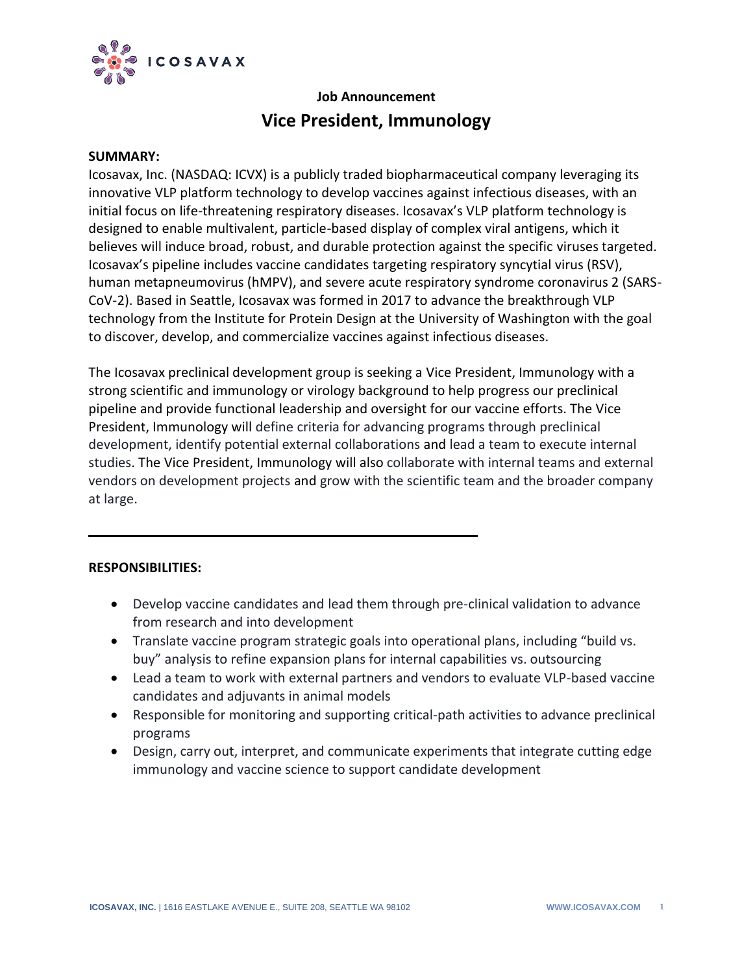

# **Job Announcement Vice President, Immunology**

#### **SUMMARY:**

Icosavax, Inc. (NASDAQ: ICVX) is a publicly traded biopharmaceutical company leveraging its innovative VLP platform technology to develop vaccines against infectious diseases, with an initial focus on life-threatening respiratory diseases. Icosavax's VLP platform technology is designed to enable multivalent, particle-based display of complex viral antigens, which it believes will induce broad, robust, and durable protection against the specific viruses targeted. Icosavax's pipeline includes vaccine candidates targeting respiratory syncytial virus (RSV), human metapneumovirus (hMPV), and severe acute respiratory syndrome coronavirus 2 (SARS-CoV-2). Based in Seattle, Icosavax was formed in 2017 to advance the breakthrough VLP technology from the Institute for Protein Design at the University of Washington with the goal to discover, develop, and commercialize vaccines against infectious diseases.

The Icosavax preclinical development group is seeking a Vice President, Immunology with a strong scientific and immunology or virology background to help progress our preclinical pipeline and provide functional leadership and oversight for our vaccine efforts. The Vice President, Immunology will define criteria for advancing programs through preclinical development, identify potential external collaborations and lead a team to execute internal studies. The Vice President, Immunology will also collaborate with internal teams and external vendors on development projects and grow with the scientific team and the broader company at large.

## **RESPONSIBILITIES:**

- Develop vaccine candidates and lead them through pre-clinical validation to advance from research and into development
- Translate vaccine program strategic goals into operational plans, including "build vs. buy" analysis to refine expansion plans for internal capabilities vs. outsourcing
- Lead a team to work with external partners and vendors to evaluate VLP-based vaccine candidates and adjuvants in animal models
- Responsible for monitoring and supporting critical-path activities to advance preclinical programs
- Design, carry out, interpret, and communicate experiments that integrate cutting edge immunology and vaccine science to support candidate development